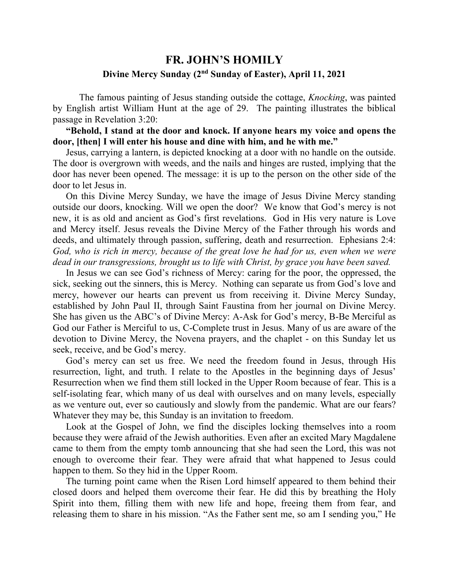## **FR. JOHN'S HOMILY Divine Mercy Sunday (2nd Sunday of Easter), April 11, 2021**

 The famous painting of Jesus standing outside the cottage, *Knocking*, was painted by English artist William Hunt at the age of 29. The painting illustrates the biblical passage in Revelation 3:20:

 **"Behold, I stand at the door and knock. If anyone hears my voice and opens the door, [then] I will enter his house and dine with him, and he with me."**

 Jesus, carrying a lantern, is depicted knocking at a door with no handle on the outside. The door is overgrown with weeds, and the nails and hinges are rusted, implying that the door has never been opened. The message: it is up to the person on the other side of the door to let Jesus in.

 On this Divine Mercy Sunday, we have the image of Jesus Divine Mercy standing outside our doors, knocking. Will we open the door? We know that God's mercy is not new, it is as old and ancient as God's first revelations. God in His very nature is Love and Mercy itself. Jesus reveals the Divine Mercy of the Father through his words and deeds, and ultimately through passion, suffering, death and resurrection. Ephesians 2:4: *God, who is rich in mercy, because of the great love he had for us, even when we were dead in our transgressions, brought us to life with Christ, by grace you have been saved.* 

 In Jesus we can see God's richness of Mercy: caring for the poor, the oppressed, the sick, seeking out the sinners, this is Mercy. Nothing can separate us from God's love and mercy, however our hearts can prevent us from receiving it. Divine Mercy Sunday, established by John Paul II, through Saint Faustina from her journal on Divine Mercy. She has given us the ABC's of Divine Mercy: A-Ask for God's mercy, B-Be Merciful as God our Father is Merciful to us, C-Complete trust in Jesus. Many of us are aware of the devotion to Divine Mercy, the Novena prayers, and the chaplet - on this Sunday let us seek, receive, and be God's mercy.

 God's mercy can set us free. We need the freedom found in Jesus, through His resurrection, light, and truth. I relate to the Apostles in the beginning days of Jesus' Resurrection when we find them still locked in the Upper Room because of fear. This is a self-isolating fear, which many of us deal with ourselves and on many levels, especially as we venture out, ever so cautiously and slowly from the pandemic. What are our fears? Whatever they may be, this Sunday is an invitation to freedom.

 Look at the Gospel of John, we find the disciples locking themselves into a room because they were afraid of the Jewish authorities. Even after an excited Mary Magdalene came to them from the empty tomb announcing that she had seen the Lord, this was not enough to overcome their fear. They were afraid that what happened to Jesus could happen to them. So they hid in the Upper Room.

 The turning point came when the Risen Lord himself appeared to them behind their closed doors and helped them overcome their fear. He did this by breathing the Holy Spirit into them, filling them with new life and hope, freeing them from fear, and releasing them to share in his mission. "As the Father sent me, so am I sending you," He